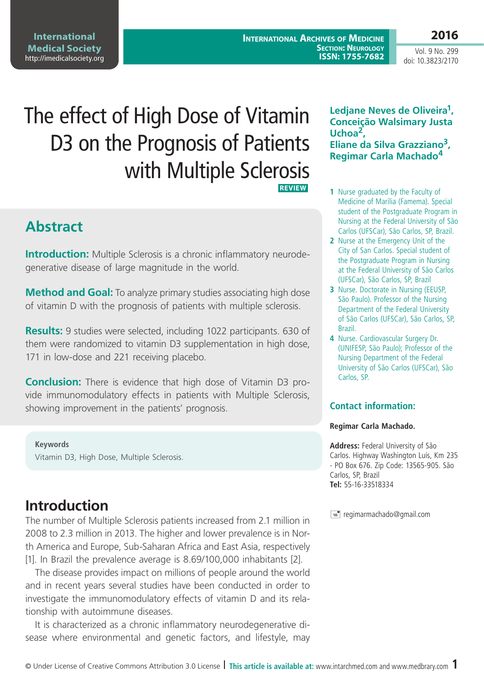#### **International Medical Society**  http://imedicalsociety.org

**International Archives of Medicine Section: Neurology ISSN: 1755-7682**

**2016** Vol. 9 No. 299

doi: 10.3823/2170

# The effect of High Dose of Vitamin D3 on the Prognosis of Patients with Multiple Sclerosis **REVIEW**

# **Abstract**

**Introduction:** Multiple Sclerosis is a chronic inflammatory neurodegenerative disease of large magnitude in the world.

**Method and Goal:** To analyze primary studies associating high dose of vitamin D with the prognosis of patients with multiple sclerosis.

**Results:** 9 studies were selected, including 1022 participants. 630 of them were randomized to vitamin D3 supplementation in high dose, 171 in low-dose and 221 receiving placebo.

**Conclusion:** There is evidence that high dose of Vitamin D3 provide immunomodulatory effects in patients with Multiple Sclerosis, showing improvement in the patients' prognosis.

#### **Keywords**

Vitamin D3, High Dose, Multiple Sclerosis.

### **Introduction**

The number of Multiple Sclerosis patients increased from 2.1 million in 2008 to 2.3 million in 2013. The higher and lower prevalence is in North America and Europe, Sub-Saharan Africa and East Asia, respectively [1]. In Brazil the prevalence average is 8.69/100,000 inhabitants [2].

The disease provides impact on millions of people around the world and in recent years several studies have been conducted in order to investigate the immunomodulatory effects of vitamin D and its relationship with autoimmune diseases.

It is characterized as a chronic inflammatory neurodegenerative disease where environmental and genetic factors, and lifestyle, may

### **Ledjane Neves de Oliveira1, Conceição Walsimary Justa Uchoa2,**

**Eliane da Silva Grazziano3, Regimar Carla Machado<sup>4</sup>**

- **1** Nurse graduated by the Faculty of Medicine of Marília (Famema). Special student of the Postgraduate Program in Nursing at the Federal University of São Carlos (UFSCar), São Carlos, SP, Brazil.
- **2** Nurse at the Emergency Unit of the City of San Carlos. Special student of the Postgraduate Program in Nursing at the Federal University of São Carlos (UFSCar), São Carlos, SP, Brazil
- **3** Nurse. Doctorate in Nursing (EEUSP, São Paulo). Professor of the Nursing Department of the Federal University of São Carlos (UFSCar), São Carlos, SP, Brazil.
- **4** Nurse. Cardiovascular Surgery Dr. (UNIFESP, São Paulo); Professor of the Nursing Department of the Federal University of São Carlos (UFSCar), São Carlos, SP.

### **Contact information:**

#### **Regimar Carla Machado.**

**Address:** Federal University of São Carlos. Highway Washington Luís, Km 235 - PO Box 676. Zip Code: 13565-905. São Carlos, SP, Brazil **Tel:** 55-16-33518334

 $\equiv$  regimarmachado@gmail.com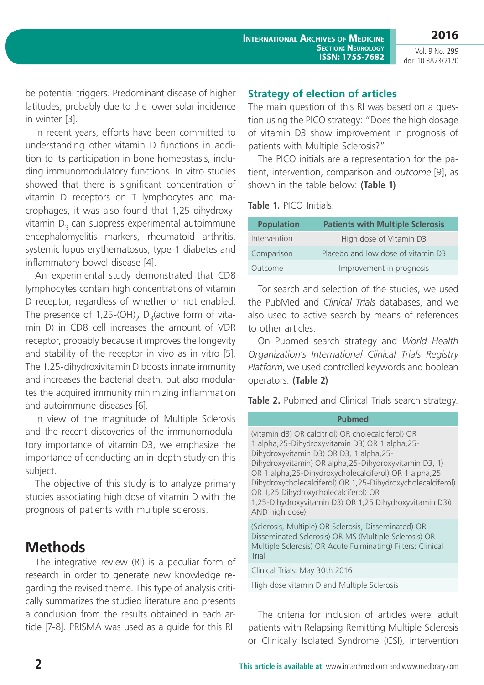Vol. 9 No. 299 doi: 10.3823/2170

be potential triggers. Predominant disease of higher latitudes, probably due to the lower solar incidence in winter [3].

In recent years, efforts have been committed to understanding other vitamin D functions in addition to its participation in bone homeostasis, including immunomodulatory functions. In vitro studies showed that there is significant concentration of vitamin D receptors on T lymphocytes and macrophages, it was also found that 1,25-dihydroxyvitamin  $D<sub>3</sub>$  can suppress experimental autoimmune encephalomyelitis markers, rheumatoid arthritis, systemic lupus erythematosus, type 1 diabetes and inflammatory bowel disease [4].

An experimental study demonstrated that CD8 lymphocytes contain high concentrations of vitamin D receptor, regardless of whether or not enabled. The presence of 1,25-(OH)<sub>2</sub> D<sub>3</sub>(active form of vitamin D) in CD8 cell increases the amount of VDR receptor, probably because it improves the longevity and stability of the receptor in vivo as in vitro [5]. The 1.25-dihydroxivitamin D boosts innate immunity and increases the bacterial death, but also modulates the acquired immunity minimizing inflammation and autoimmune diseases [6].

In view of the magnitude of Multiple Sclerosis and the recent discoveries of the immunomodulatory importance of vitamin D3, we emphasize the importance of conducting an in-depth study on this subject.

The objective of this study is to analyze primary studies associating high dose of vitamin D with the prognosis of patients with multiple sclerosis.

# **Methods**

The integrative review (RI) is a peculiar form of research in order to generate new knowledge regarding the revised theme. This type of analysis critically summarizes the studied literature and presents a conclusion from the results obtained in each article [7-8]. PRISMA was used as a guide for this RI.

### **Strategy of election of articles**

The main question of this RI was based on a question using the PICO strategy: "Does the high dosage of vitamin D3 show improvement in prognosis of patients with Multiple Sclerosis?"

The PICO initials are a representation for the patient, intervention, comparison and *outcome* [9], as shown in the table below: **(Table 1)**

**Table 1.** PICO Initials.

| <b>Population</b> | <b>Patients with Multiple Sclerosis</b> |
|-------------------|-----------------------------------------|
| Intervention      | High dose of Vitamin D3                 |
| Comparison        | Placebo and low dose of vitamin D3      |
| Outcome           | Improvement in prognosis                |

Tor search and selection of the studies, we used the PubMed and *Clinical Trials* databases, and we also used to active search by means of references to other articles.

On Pubmed search strategy and *World Health Organization's International Clinical Trials Registry Platform*, we used controlled keywords and boolean operators: **(Table 2)**

**Table 2.** Pubmed and Clinical Trials search strategy.

#### **Pubmed**

(vitamin d3) OR calcitriol) OR cholecalciferol) OR 1 alpha,25-Dihydroxyvitamin D3) OR 1 alpha,25- Dihydroxyvitamin D3) OR D3, 1 alpha,25- Dihydroxyvitamin) OR alpha,25-Dihydroxyvitamin D3, 1) OR 1 alpha,25-Dihydroxycholecalciferol) OR 1 alpha,25 Dihydroxycholecalciferol) OR 1,25-Dihydroxycholecalciferol) OR 1,25 Dihydroxycholecalciferol) OR 1,25-Dihydroxyvitamin D3) OR 1,25 Dihydroxyvitamin D3)) AND high dose)

(Sclerosis, Multiple) OR Sclerosis, Disseminated) OR Disseminated Sclerosis) OR MS (Multiple Sclerosis) OR Multiple Sclerosis) OR Acute Fulminating) Filters: Clinical Trial

Clinical Trials: May 30th 2016

High dose vitamin D and Multiple Sclerosis

The criteria for inclusion of articles were: adult patients with Relapsing Remitting Multiple Sclerosis or Clinically Isolated Syndrome (CSI), intervention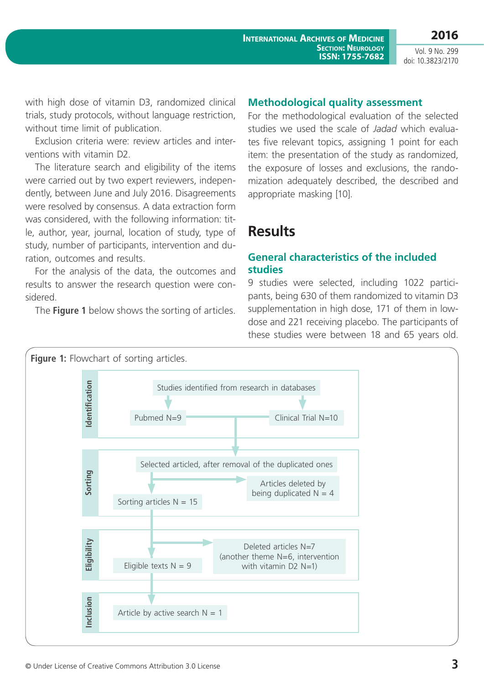**International Archives of Medicine**

Vol. 9 No. 299 doi: 10.3823/2170

**2016**

with high dose of vitamin D3, randomized clinical trials, study protocols, without language restriction, without time limit of publication.

Exclusion criteria were: review articles and interventions with vitamin D2.

The literature search and eligibility of the items were carried out by two expert reviewers, independently, between June and July 2016. Disagreements were resolved by consensus. A data extraction form was considered, with the following information: title, author, year, journal, location of study, type of study, number of participants, intervention and duration, outcomes and results.

For the analysis of the data, the outcomes and results to answer the research question were considered.

The **Figure 1** below shows the sorting of articles.

#### **Methodological quality assessment**

For the methodological evaluation of the selected studies we used the scale of *Jadad* which evaluates five relevant topics, assigning 1 point for each item: the presentation of the study as randomized, the exposure of losses and exclusions, the randomization adequately described, the described and appropriate masking [10].

**Section: Neurology**

### **Results**

### **General characteristics of the included studies**

9 studies were selected, including 1022 participants, being 630 of them randomized to vitamin D3 supplementation in high dose, 171 of them in lowdose and 221 receiving placebo. The participants of these studies were between 18 and 65 years old.

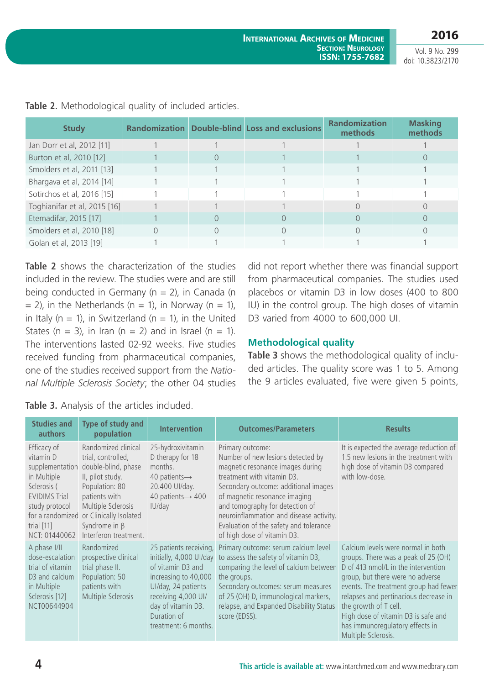Vol. 9 No. 299 doi: 10.3823/2170

| <b>Study</b>                 |  | <b>Randomization Double-blind Loss and exclusions</b> | <b>Randomization</b><br>methods | <b>Masking</b><br>methods |
|------------------------------|--|-------------------------------------------------------|---------------------------------|---------------------------|
| Jan Dorr et al, 2012 [11]    |  |                                                       |                                 |                           |
| Burton et al, 2010 [12]      |  |                                                       |                                 |                           |
| Smolders et al, 2011 [13]    |  |                                                       |                                 |                           |
| Bhargava et al, 2014 [14]    |  |                                                       |                                 |                           |
| Sotirchos et al, 2016 [15]   |  |                                                       |                                 |                           |
| Toghianifar et al, 2015 [16] |  |                                                       |                                 |                           |
| Etemadifar, 2015 [17]        |  |                                                       |                                 |                           |
| Smolders et al, 2010 [18]    |  |                                                       |                                 |                           |
| Golan et al, 2013 [19]       |  |                                                       |                                 |                           |

**Table 2.** Methodological quality of included articles.

**Table 2** shows the characterization of the studies included in the review. The studies were and are still being conducted in Germany ( $n = 2$ ), in Canada (n  $= 2$ ), in the Netherlands (n  $= 1$ ), in Norway (n  $= 1$ ), in Italy ( $n = 1$ ), in Switzerland ( $n = 1$ ), in the United States (n = 3), in Iran (n = 2) and in Israel (n = 1). The interventions lasted 02-92 weeks. Five studies received funding from pharmaceutical companies, one of the studies received support from the *National Multiple Sclerosis Society*; the other 04 studies

did not report whether there was financial support from pharmaceutical companies. The studies used placebos or vitamin D3 in low doses (400 to 800 IU) in the control group. The high doses of vitamin D3 varied from 4000 to 600,000 UI.

### **Methodological quality**

**Table 3** shows the methodological quality of included articles. The quality score was 1 to 5. Among the 9 articles evaluated, five were given 5 points,

|  |  |  |  |  |  |  | Table 3. Analysis of the articles included. |
|--|--|--|--|--|--|--|---------------------------------------------|
|--|--|--|--|--|--|--|---------------------------------------------|

| <b>Studies and</b><br><b>authors</b>                                                                                                                                     | Type of study and<br>population                                                                                                                                                                                         | <b>Intervention</b>                                                                                                                                                                                       | <b>Outcomes/Parameters</b>                                                                                                                                                                                                                                                                                                                              | <b>Results</b>                                                                                                                                                                                                                                                                                                                                                   |
|--------------------------------------------------------------------------------------------------------------------------------------------------------------------------|-------------------------------------------------------------------------------------------------------------------------------------------------------------------------------------------------------------------------|-----------------------------------------------------------------------------------------------------------------------------------------------------------------------------------------------------------|---------------------------------------------------------------------------------------------------------------------------------------------------------------------------------------------------------------------------------------------------------------------------------------------------------------------------------------------------------|------------------------------------------------------------------------------------------------------------------------------------------------------------------------------------------------------------------------------------------------------------------------------------------------------------------------------------------------------------------|
| Efficacy of<br>vitamin D<br>supplementation<br>in Multiple<br>Sclerosis (<br><b>EVIDIMS Trial</b><br>study protocol<br>for a randomized<br>trial $[11]$<br>NCT: 01440062 | Randomized clinical<br>trial, controlled,<br>double-blind, phase<br>II, pilot study.<br>Population: 80<br>patients with<br>Multiple Sclerosis<br>or Clinically Isolated<br>Syndrome in $\beta$<br>Interferon treatment. | 25-hydroxivitamin<br>D therapy for 18<br>months.<br>40 patients $\rightarrow$<br>20.400 UI/day.<br>40 patients $\rightarrow$ 400<br>IU/day                                                                | Primary outcome:<br>Number of new lesions detected by<br>magnetic resonance images during<br>treatment with vitamin D3.<br>Secondary outcome: additional images<br>of magnetic resonance imaging<br>and tomography for detection of<br>neuroinflammation and disease activity.<br>Evaluation of the safety and tolerance<br>of high dose of vitamin D3. | It is expected the average reduction of<br>1.5 new lesions in the treatment with<br>high dose of vitamin D3 compared<br>with low-dose.                                                                                                                                                                                                                           |
| A phase I/II<br>dose-escalation<br>trial of vitamin<br>D3 and calcium<br>in Multiple<br>Sclerosis [12]<br>NCT00644904                                                    | Randomized<br>prospective clinical<br>trial phase II.<br>Population: 50<br>patients with<br>Multiple Sclerosis                                                                                                          | 25 patients receiving,<br>initially, 4,000 UI/day<br>of vitamin D3 and<br>increasing to 40,000<br>UI/day, 24 patients<br>receiving 4,000 UI/<br>day of vitamin D3.<br>Duration of<br>treatment: 6 months. | Primary outcome: serum calcium level<br>to assess the safety of vitamin D3,<br>comparing the level of calcium between<br>the groups.<br>Secondary outcomes: serum measures<br>of 25 (OH) D, immunological markers,<br>relapse, and Expanded Disability Status<br>score (EDSS).                                                                          | Calcium levels were normal in both<br>groups. There was a peak of 25 (OH)<br>D of 413 nmol/L in the intervention<br>group, but there were no adverse<br>events. The treatment group had fewer<br>relapses and pertinacious decrease in<br>the growth of T cell.<br>High dose of vitamin D3 is safe and<br>has immunoregulatory effects in<br>Multiple Sclerosis. |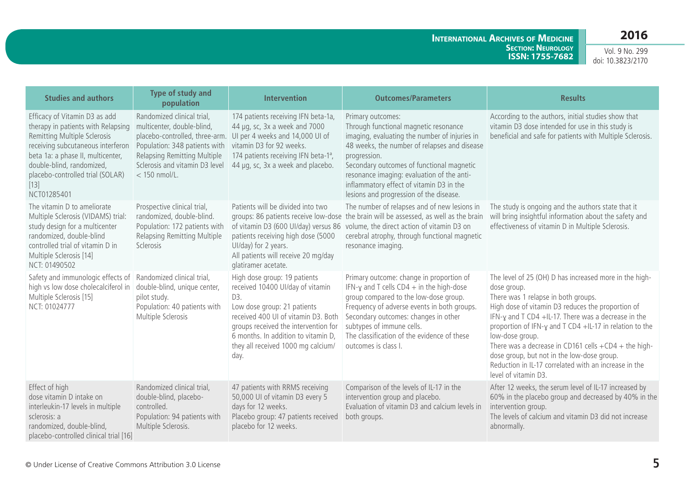**International Archives of Medicine Section: Neurology ISSN: 1755-7682**

Vol. 9 No. 299 doi: 10.3823/2170

| <b>Studies and authors</b>                                                                                                                                                                                                                                              | <b>Type of study and</b><br>population                                                                                                                                                                           | <b>Intervention</b>                                                                                                                                                                                                                                                        | <b>Outcomes/Parameters</b>                                                                                                                                                                                                                                                                                                                                    | <b>Results</b>                                                                                                                                                                                                                                                                                                                                                                                                                                                                                  |
|-------------------------------------------------------------------------------------------------------------------------------------------------------------------------------------------------------------------------------------------------------------------------|------------------------------------------------------------------------------------------------------------------------------------------------------------------------------------------------------------------|----------------------------------------------------------------------------------------------------------------------------------------------------------------------------------------------------------------------------------------------------------------------------|---------------------------------------------------------------------------------------------------------------------------------------------------------------------------------------------------------------------------------------------------------------------------------------------------------------------------------------------------------------|-------------------------------------------------------------------------------------------------------------------------------------------------------------------------------------------------------------------------------------------------------------------------------------------------------------------------------------------------------------------------------------------------------------------------------------------------------------------------------------------------|
| Efficacy of Vitamin D3 as add<br>therapy in patients with Relapsing<br>Remitting Multiple Sclerosis<br>receiving subcutaneous interferon<br>beta 1a: a phase II, multicenter,<br>double-blind, randomized,<br>placebo-controlled trial (SOLAR)<br>$[13]$<br>NCT01285401 | Randomized clinical trial,<br>multicenter, double-blind,<br>placebo-controlled, three-arm.<br>Population: 348 patients with<br>Relapsing Remitting Multiple<br>Sclerosis and vitamin D3 level<br>$<$ 150 nmol/L. | 174 patients receiving IFN beta-1a,<br>44 µg, sc, 3x a week and 7000<br>UI per 4 weeks and 14,000 UI of<br>vitamin D3 for 92 weeks.<br>174 patients receiving IFN beta-1 <sup>a</sup> ,<br>44 µg, sc, 3x a week and placebo.                                               | Primary outcomes:<br>Through functional magnetic resonance<br>imaging, evaluating the number of injuries in<br>48 weeks, the number of relapses and disease<br>progression.<br>Secondary outcomes of functional magnetic<br>resonance imaging: evaluation of the anti-<br>inflammatory effect of vitamin D3 in the<br>lesions and progression of the disease. | According to the authors, initial studies show that<br>vitamin D3 dose intended for use in this study is<br>beneficial and safe for patients with Multiple Sclerosis.                                                                                                                                                                                                                                                                                                                           |
| The vitamin D to ameliorate<br>Multiple Sclerosis (VIDAMS) trial:<br>study design for a multicenter<br>randomized, double-blind<br>controlled trial of vitamin D in<br>Multiple Sclerosis [14]<br>NCT: 01490502                                                         | Prospective clinical trial,<br>randomized, double-blind.<br>Population: 172 patients with<br>Relapsing Remitting Multiple<br>Sclerosis                                                                           | Patients will be divided into two<br>groups: 86 patients receive low-dose<br>of vitamin D3 (600 UI/day) versus 86<br>patients receiving high dose (5000<br>UI/day) for 2 years.<br>All patients will receive 20 mg/day<br>glatiramer acetate.                              | The number of relapses and of new lesions in<br>the brain will be assessed, as well as the brain<br>volume, the direct action of vitamin D3 on<br>cerebral atrophy, through functional magnetic<br>resonance imaging.                                                                                                                                         | The study is ongoing and the authors state that it<br>will bring insightful information about the safety and<br>effectiveness of vitamin D in Multiple Sclerosis.                                                                                                                                                                                                                                                                                                                               |
| Safety and immunologic effects of<br>high vs low dose cholecalciferol in<br>Multiple Sclerosis [15]<br>NCT: 01024777                                                                                                                                                    | Randomized clinical trial,<br>double-blind, unique center,<br>pilot study.<br>Population: 40 patients with<br>Multiple Sclerosis                                                                                 | High dose group: 19 patients<br>received 10400 UI/day of vitamin<br>D3.<br>Low dose group: 21 patients<br>received 400 UI of vitamin D3. Both<br>groups received the intervention for<br>6 months. In addition to vitamin D,<br>they all received 1000 mg calcium/<br>day. | Primary outcome: change in proportion of<br>IFN- $\gamma$ and T cells CD4 $+$ in the high-dose<br>group compared to the low-dose group.<br>Frequency of adverse events in both groups.<br>Secondary outcomes: changes in other<br>subtypes of immune cells.<br>The classification of the evidence of these<br>outcomes is class I.                            | The level of 25 (OH) D has increased more in the high-<br>dose group.<br>There was 1 relapse in both groups.<br>High dose of vitamin D3 reduces the proportion of<br>IFN-y and T CD4 +IL-17. There was a decrease in the<br>proportion of IFN-y and T CD4 +IL-17 in relation to the<br>low-dose group.<br>There was a decrease in CD161 cells $+CD4$ + the high-<br>dose group, but not in the low-dose group.<br>Reduction in IL-17 correlated with an increase in the<br>level of vitamin D3. |
| Effect of high<br>dose vitamin D intake on<br>interleukin-17 levels in multiple<br>sclerosis: a<br>randomized, double-blind,<br>placebo-controlled clinical trial [16]                                                                                                  | Randomized clinical trial,<br>double-blind, placebo-<br>controlled.<br>Population: 94 patients with<br>Multiple Sclerosis.                                                                                       | 47 patients with RRMS receiving<br>50,000 UI of vitamin D3 every 5<br>days for 12 weeks.<br>Placebo group: 47 patients received<br>placebo for 12 weeks.                                                                                                                   | Comparison of the levels of IL-17 in the<br>intervention group and placebo.<br>Evaluation of vitamin D3 and calcium levels in<br>both groups.                                                                                                                                                                                                                 | After 12 weeks, the serum level of IL-17 increased by<br>60% in the placebo group and decreased by 40% in the<br>intervention group.<br>The levels of calcium and vitamin D3 did not increase<br>abnormally.                                                                                                                                                                                                                                                                                    |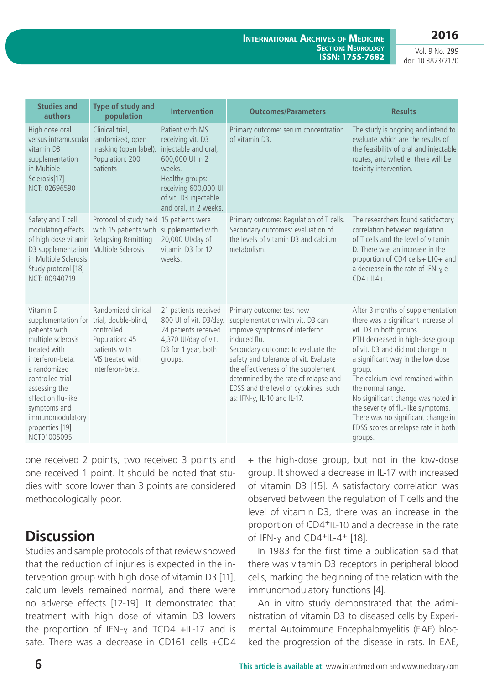#### **International Archives of Medicine SECTION: NEUROLOGY ISSN: 1755-7682**

Vol. 9 No. 299 doi: 10.3823/2170

| <b>Studies and</b><br>authors                                                                                                                                                                                                                                                     | Type of study and<br>population                                                                              | <b>Intervention</b>                                                                                                                                                                    | <b>Outcomes/Parameters</b>                                                                                                                                                                                                                                                                                                                             | <b>Results</b>                                                                                                                                                                                                                                                                                                                                                                                                                                           |
|-----------------------------------------------------------------------------------------------------------------------------------------------------------------------------------------------------------------------------------------------------------------------------------|--------------------------------------------------------------------------------------------------------------|----------------------------------------------------------------------------------------------------------------------------------------------------------------------------------------|--------------------------------------------------------------------------------------------------------------------------------------------------------------------------------------------------------------------------------------------------------------------------------------------------------------------------------------------------------|----------------------------------------------------------------------------------------------------------------------------------------------------------------------------------------------------------------------------------------------------------------------------------------------------------------------------------------------------------------------------------------------------------------------------------------------------------|
| High dose oral<br>versus intramuscular<br>vitamin D3<br>supplementation<br>in Multiple<br>Sclerosis[17]<br>NCT: 02696590                                                                                                                                                          | Clinical trial,<br>randomized, open<br>masking (open label).<br>Population: 200<br>patients                  | Patient with MS<br>receiving vit. D3<br>injectable and oral,<br>600,000 UI in 2<br>weeks.<br>Healthy groups:<br>receiving 600,000 UI<br>of vit. D3 injectable<br>and oral, in 2 weeks. | Primary outcome: serum concentration<br>of vitamin D3.                                                                                                                                                                                                                                                                                                 | The study is ongoing and intend to<br>evaluate which are the results of<br>the feasibility of oral and injectable<br>routes, and whether there will be<br>toxicity intervention.                                                                                                                                                                                                                                                                         |
| Safety and T cell<br>modulating effects<br>of high dose vitamin Relapsing Remitting<br>D3 supplementation<br>in Multiple Sclerosis.<br>Study protocol [18]<br>NCT: 00940719                                                                                                       | Protocol of study held<br>with 15 patients with<br>Multiple Sclerosis                                        | 15 patients were<br>supplemented with<br>20,000 UI/day of<br>vitamin D3 for 12<br>weeks.                                                                                               | Primary outcome: Regulation of T cells.<br>Secondary outcomes: evaluation of<br>the levels of vitamin D3 and calcium<br>metabolism.                                                                                                                                                                                                                    | The researchers found satisfactory<br>correlation between regulation<br>of T cells and the level of vitamin<br>D. There was an increase in the<br>proportion of CD4 cells+IL10+ and<br>a decrease in the rate of IFN-y e<br>$CD4+IL4+$ .                                                                                                                                                                                                                 |
| Vitamin D<br>supplementation for trial, double-blind,<br>patients with<br>multiple sclerosis<br>treated with<br>interferon-beta:<br>a randomized<br>controlled trial<br>assessing the<br>effect on flu-like<br>symptoms and<br>immunomodulatory<br>properties [19]<br>NCT01005095 | Randomized clinical<br>controlled.<br>Population: 45<br>patients with<br>MS treated with<br>interferon-beta. | 21 patients received<br>800 UI of vit. D3/day.<br>24 patients received<br>4,370 UI/day of vit.<br>D3 for 1 year, both<br>groups.                                                       | Primary outcome: test how<br>supplementation with vit. D3 can<br>improve symptoms of interferon<br>induced flu.<br>Secondary outcome: to evaluate the<br>safety and tolerance of vit. Evaluate<br>the effectiveness of the supplement<br>determined by the rate of relapse and<br>EDSS and the level of cytokines, such<br>as: IFN-y, IL-10 and IL-17. | After 3 months of supplementation<br>there was a significant increase of<br>vit. D3 in both groups.<br>PTH decreased in high-dose group<br>of vit. D3 and did not change in<br>a significant way in the low dose<br>group.<br>The calcium level remained within<br>the normal range.<br>No significant change was noted in<br>the severity of flu-like symptoms.<br>There was no significant change in<br>EDSS scores or relapse rate in both<br>groups. |

one received 2 points, two received 3 points and one received 1 point. It should be noted that studies with score lower than 3 points are considered methodologically poor.

# **Discussion**

Studies and sample protocols of that review showed that the reduction of injuries is expected in the intervention group with high dose of vitamin D3 [11], calcium levels remained normal, and there were no adverse effects [12-19]. It demonstrated that treatment with high dose of vitamin D3 lowers the proportion of IFN-ɣ and TCD4 +IL-17 and is safe. There was a decrease in CD161 cells +CD4 + the high-dose group, but not in the low-dose group. It showed a decrease in IL-17 with increased of vitamin D3 [15]. A satisfactory correlation was observed between the regulation of T cells and the level of vitamin D3, there was an increase in the proportion of CD4+IL-10 and a decrease in the rate of IFN-ɣ and CD4+IL-4+ [18].

In 1983 for the first time a publication said that there was vitamin D3 receptors in peripheral blood cells, marking the beginning of the relation with the immunomodulatory functions [4].

An in vitro study demonstrated that the administration of vitamin D3 to diseased cells by Experimental Autoimmune Encephalomyelitis (EAE) blocked the progression of the disease in rats. In EAE,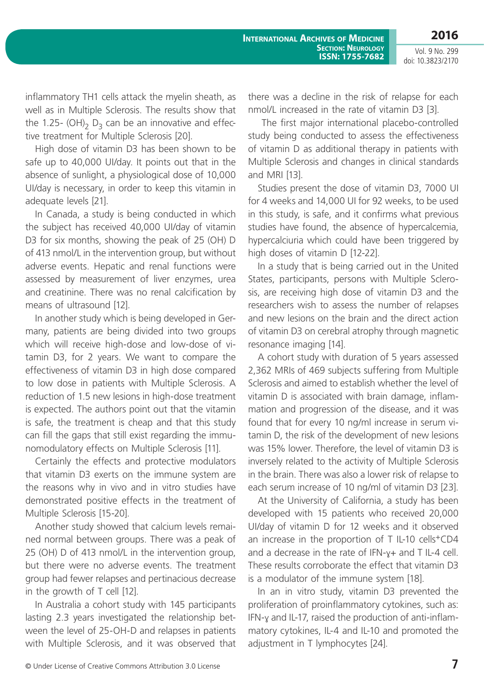Vol. 9 No. 299 doi: 10.3823/2170

inflammatory TH1 cells attack the myelin sheath, as well as in Multiple Sclerosis. The results show that the 1.25- (OH)<sub>2</sub> D<sub>3</sub> can be an innovative and effective treatment for Multiple Sclerosis [20].

High dose of vitamin D3 has been shown to be safe up to 40,000 UI/day. It points out that in the absence of sunlight, a physiological dose of 10,000 UI/day is necessary, in order to keep this vitamin in adequate levels [21].

In Canada, a study is being conducted in which the subject has received 40,000 UI/day of vitamin D3 for six months, showing the peak of 25 (OH) D of 413 nmol/L in the intervention group, but without adverse events. Hepatic and renal functions were assessed by measurement of liver enzymes, urea and creatinine. There was no renal calcification by means of ultrasound [12].

In another study which is being developed in Germany, patients are being divided into two groups which will receive high-dose and low-dose of vitamin D3, for 2 years. We want to compare the effectiveness of vitamin D3 in high dose compared to low dose in patients with Multiple Sclerosis. A reduction of 1.5 new lesions in high-dose treatment is expected. The authors point out that the vitamin is safe, the treatment is cheap and that this study can fill the gaps that still exist regarding the immunomodulatory effects on Multiple Sclerosis [11].

Certainly the effects and protective modulators that vitamin D3 exerts on the immune system are the reasons why in vivo and in vitro studies have demonstrated positive effects in the treatment of Multiple Sclerosis [15-20].

Another study showed that calcium levels remained normal between groups. There was a peak of 25 (OH) D of 413 nmol/L in the intervention group, but there were no adverse events. The treatment group had fewer relapses and pertinacious decrease in the growth of T cell [12].

In Australia a cohort study with 145 participants lasting 2.3 years investigated the relationship between the level of 25-OH-D and relapses in patients with Multiple Sclerosis, and it was observed that there was a decline in the risk of relapse for each nmol/L increased in the rate of vitamin D3 [3].

 The first major international placebo-controlled study being conducted to assess the effectiveness of vitamin D as additional therapy in patients with Multiple Sclerosis and changes in clinical standards and MRI [13].

Studies present the dose of vitamin D3, 7000 UI for 4 weeks and 14,000 UI for 92 weeks, to be used in this study, is safe, and it confirms what previous studies have found, the absence of hypercalcemia, hypercalciuria which could have been triggered by high doses of vitamin D [12-22].

In a study that is being carried out in the United States, participants, persons with Multiple Sclerosis, are receiving high dose of vitamin D3 and the researchers wish to assess the number of relapses and new lesions on the brain and the direct action of vitamin D3 on cerebral atrophy through magnetic resonance imaging [14].

A cohort study with duration of 5 years assessed 2,362 MRIs of 469 subjects suffering from Multiple Sclerosis and aimed to establish whether the level of vitamin D is associated with brain damage, inflammation and progression of the disease, and it was found that for every 10 ng/ml increase in serum vitamin D, the risk of the development of new lesions was 15% lower. Therefore, the level of vitamin D3 is inversely related to the activity of Multiple Sclerosis in the brain. There was also a lower risk of relapse to each serum increase of 10 ng/ml of vitamin D3 [23].

At the University of California, a study has been developed with 15 patients who received 20,000 UI/day of vitamin D for 12 weeks and it observed an increase in the proportion of T IL-10 cells<sup>+</sup>CD4 and a decrease in the rate of IFN-ɣ+ and T IL-4 cell. These results corroborate the effect that vitamin D3 is a modulator of the immune system [18].

In an in vitro study, vitamin D3 prevented the proliferation of proinflammatory cytokines, such as: IFN-ɣ and IL-17, raised the production of anti-inflammatory cytokines, IL-4 and IL-10 and promoted the adjustment in T lymphocytes [24].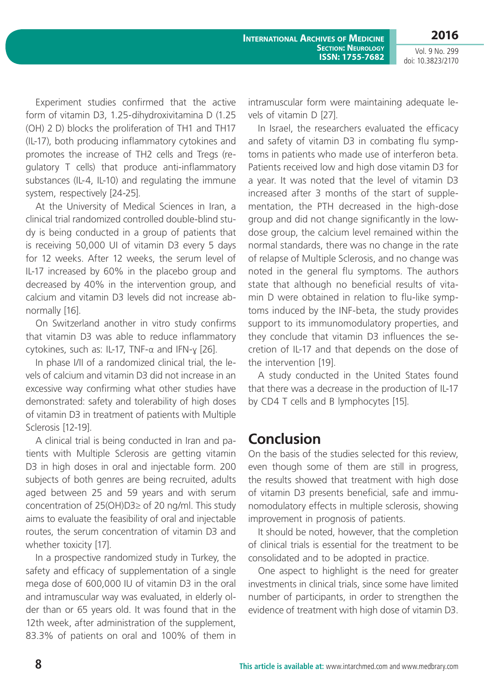Vol. 9 No. 299 doi: 10.3823/2170

Experiment studies confirmed that the active form of vitamin D3, 1.25-dihydroxivitamina D (1.25 (OH) 2 D) blocks the proliferation of TH1 and TH17 (IL-17), both producing inflammatory cytokines and promotes the increase of TH2 cells and Tregs (regulatory T cells) that produce anti-inflammatory substances (IL-4, IL-10) and regulating the immune system, respectively [24-25].

At the University of Medical Sciences in Iran, a clinical trial randomized controlled double-blind study is being conducted in a group of patients that is receiving 50,000 UI of vitamin D3 every 5 days for 12 weeks. After 12 weeks, the serum level of IL-17 increased by 60% in the placebo group and decreased by 40% in the intervention group, and calcium and vitamin D3 levels did not increase abnormally [16].

On Switzerland another in vitro study confirms that vitamin D3 was able to reduce inflammatory cytokines, such as: IL-17, TNF-α and IFN-ɣ [26].

In phase I/II of a randomized clinical trial, the levels of calcium and vitamin D3 did not increase in an excessive way confirming what other studies have demonstrated: safety and tolerability of high doses of vitamin D3 in treatment of patients with Multiple Sclerosis [12-19].

A clinical trial is being conducted in Iran and patients with Multiple Sclerosis are getting vitamin D3 in high doses in oral and injectable form. 200 subjects of both genres are being recruited, adults aged between 25 and 59 years and with serum concentration of 25(OH)D3≥ of 20 ng/ml. This study aims to evaluate the feasibility of oral and injectable routes, the serum concentration of vitamin D3 and whether toxicity [17].

In a prospective randomized study in Turkey, the safety and efficacy of supplementation of a single mega dose of 600,000 IU of vitamin D3 in the oral and intramuscular way was evaluated, in elderly older than or 65 years old. It was found that in the 12th week, after administration of the supplement, 83.3% of patients on oral and 100% of them in

intramuscular form were maintaining adequate levels of vitamin D [27].

In Israel, the researchers evaluated the efficacy and safety of vitamin D3 in combating flu symptoms in patients who made use of interferon beta. Patients received low and high dose vitamin D3 for a year. It was noted that the level of vitamin D3 increased after 3 months of the start of supplementation, the PTH decreased in the high-dose group and did not change significantly in the lowdose group, the calcium level remained within the normal standards, there was no change in the rate of relapse of Multiple Sclerosis, and no change was noted in the general flu symptoms. The authors state that although no beneficial results of vitamin D were obtained in relation to flu-like symptoms induced by the INF-beta, the study provides support to its immunomodulatory properties, and they conclude that vitamin D3 influences the secretion of IL-17 and that depends on the dose of the intervention [19].

A study conducted in the United States found that there was a decrease in the production of IL-17 by CD4 T cells and B lymphocytes [15].

# **Conclusion**

On the basis of the studies selected for this review, even though some of them are still in progress, the results showed that treatment with high dose of vitamin D3 presents beneficial, safe and immunomodulatory effects in multiple sclerosis, showing improvement in prognosis of patients.

It should be noted, however, that the completion of clinical trials is essential for the treatment to be consolidated and to be adopted in practice.

One aspect to highlight is the need for greater investments in clinical trials, since some have limited number of participants, in order to strengthen the evidence of treatment with high dose of vitamin D3.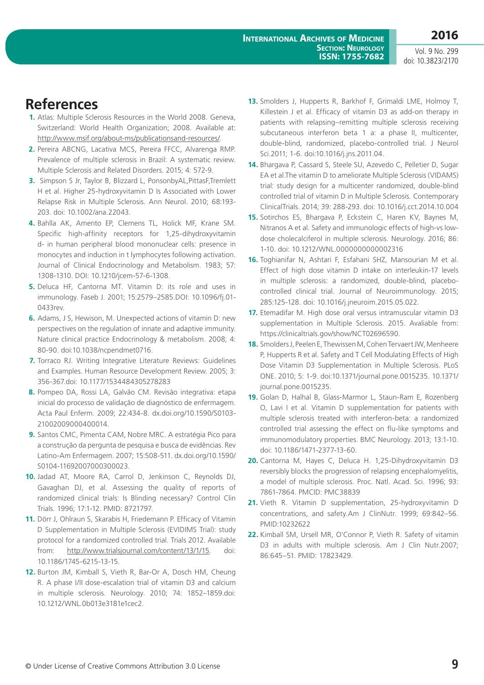Vol. 9 No. 299 doi: 10.3823/2170

# **References**

- **1.** Atlas: Multiple Sclerosis Resources in the World 2008. Geneva, Switzerland: World Health Organization; 2008. Available at: http://www.msif.org/about-ms/publicationsand-resources/.
- **2.** Pereira ABCNG, Lacativa MCS, Pereira FFCC, Alvarenga RMP. Prevalence of multiple sclerosis in Brazil: A systematic review. Multiple Sclerosis and Related Disorders. 2015; 4: 572-9.
- **3.** Simpson S Jr, Taylor B, Blizzard L, PonsonbyAL,PittasF,Tremlett H et al. Higher 25-hydroxyvitamin D Is Associated with Lower Relapse Risk in Multiple Sclerosis. Ann Neurol. 2010; 68:193- 203. doi: 10.1002/ana.22043.
- **4.** Bahlla AK, Amento EP, Clemens TL, Holick MF, Krane SM. Specific high-affinity receptors for 1,25-dihydroxyvitamin d- in human peripheral blood mononuclear cells: presence in monocytes and induction in t lymphocytes following activation. Journal of Clinical Endocrinology and Metabolism. 1983; 57: 1308-1310. DOI: 10.1210/jcem-57-6-1308.
- **5.** Deluca HF, Cantorna MT. Vitamin D: its role and uses in immunology. Faseb J. 2001; 15:2579–2585.DOI: 10.1096/fj.01- 0433rev.
- **6.** Adams, J S, Hewison, M. Unexpected actions of vitamin D: new perspectives on the regulation of innate and adaptive immunity. Nature clinical practice Endocrinology & metabolism. 2008; 4: 80-90. doi:10.1038/ncpendmet0716.
- **7.** Torraco RJ. Writing Integrative Literature Reviews: Guidelines and Examples. Human Resource Development Review. 2005; 3: 356-367.doi: 10.1177/1534484305278283
- **8.** Pompeo DA, Rossi LA, Galvão CM. Revisão integrativa: etapa inicial do processo de validação de diagnóstico de enfermagem. Acta Paul Enferm. 2009; 22:434-8. dx.doi.org/10.1590/S0103- 21002009000400014.
- **9.** Santos CMC, Pimenta CAM, Nobre MRC. A estratégia Pico para a construção da pergunta de pesquisa e busca de evidências. Rev Latino-Am Enfermagem. 2007; 15:508-511. dx.doi.org/10.1590/ S0104-11692007000300023.
- **10.** Jadad AT, Moore RA, Carrol D, Jenkinson C, Reynolds DJ, Gavaghan DJ, et al. Assessing the quality of reports of randomized clinical trials: Is Blinding necessary? Control Clin Trials. 1996; 17:1-12. PMID: 8721797.
- **11.** Dörr J, Ohlraun S, Skarabis H, Friedemann P. Efficacy of Vitamin D Supplementation in Multiple Sclerosis (EVIDIMS Trial): study protocol for a randomized controlled trial. Trials 2012. Available from: http://www.trialsjournal.com/content/13/1/15. doi: 10.1186/1745-6215-13-15.
- **12.** Burton JM, Kimball S, Vieth R, Bar-Or A, Dosch HM, Cheung R. A phase I/II dose-escalation trial of vitamin D3 and calcium in multiple sclerosis. Neurology. 2010; 74: 1852–1859.doi: 10.1212/WNL.0b013e3181e1cec2.
- **13.** Smolders J, Hupperts R, Barkhof F, Grimaldi LME, Holmoy T, Killestein J et al. Efficacy of vitamin D3 as add-on therapy in patients with relapsing–remitting multiple sclerosis receiving subcutaneous interferon beta 1 a: a phase II, multicenter, double-blind, randomized, placebo-controlled trial. J Neurol Sci.2011; 1-6. doi:10.1016/j.jns.2011.04.
- **14.** Bhargava P, Cassard S, Steele SU, Azevedo C, Pelletier D, Sugar EA et al.The vitamin D to ameliorate Multiple Sclerosis (VIDAMS) trial: study design for a multicenter randomized, double-blind controlled trial of vitamin D in Multiple Sclerosis. Contemporary ClinicalTrials. 2014; 39: 288-293. doi: 10.1016/j.cct.2014.10.004
- **15.** Sotirchos ES, Bhargava P, Eckstein C, Haren KV, Baynes M, Nitranos A et al. Safety and immunologic effects of high-vs lowdose cholecalciferol in multiple sclerosis. Neurology. 2016; 86: 1-10. doi: 10.1212/WNL.0000000000002316
- **16.** Toghianifar N, Ashtari F, Esfahani SHZ, Mansourian M et al. Effect of high dose vitamin D intake on interleukin-17 levels in multiple sclerosis: a randomized, double-blind, placebocontrolled clinical trial. Journal of Neuroimmunology. 2015; 285:125-128. doi: 10.1016/j.jneuroim.2015.05.022.
- **17.** Etemadifar M. High dose oral versus intramuscular vitamin D3 supplementation in Multiple Sclerosis. 2015. Avaliable from: https://clinicaltrials.gov/show/NCT02696590.
- **18.** Smolders J, Peelen E, Thewissen M, Cohen Tervaert JW, Menheere P, Hupperts R et al. Safety and T Cell Modulating Effects of High Dose Vitamin D3 Supplementation in Multiple Sclerosis. PLoS ONE. 2010; 5: 1-9. doi:10.1371/journal.pone.0015235. 10.1371/ journal.pone.0015235.
- **19.** Golan D, Halhal B, Glass-Marmor L, Staun-Ram E, Rozenberg O, Lavi I et al. Vitamin D supplementation for patients with multiple sclerosis treated with interferon-beta: a randomized controlled trial assessing the effect on flu-like symptoms and immunomodulatory properties. BMC Neurology. 2013; 13:1-10. doi: 10.1186/1471-2377-13-60.
- **20.** Cantorna M, Hayes C, Deluca H. 1,25-Dihydroxyvitamin D3 reversibly blocks the progression of relapsing encephalomyelitis, a model of multiple sclerosis. Proc. Natl. Acad. Sci. 1996; 93: 7861-7864. PMCID: PMC38839
- **21.** Vieth R. Vitamin D supplementation, 25-hydroxyvitamin D concentrations, and safety.Am J ClinNutr. 1999; 69:842–56. PMID:10232622
- **22.** Kimball SM, Ursell MR, O'Connor P, Vieth R. Safety of vitamin D3 in adults with multiple sclerosis. Am J Clin Nutr.2007; 86:645–51. PMID: 17823429.